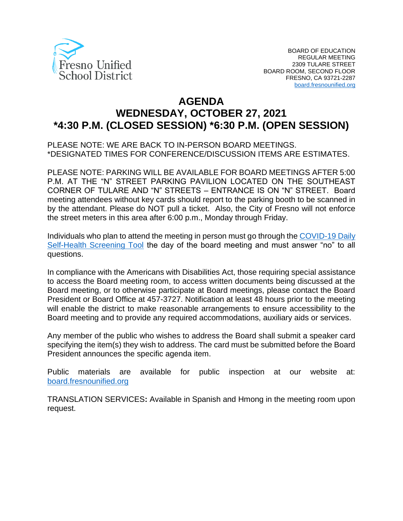

# **AGENDA WEDNESDAY, OCTOBER 27, 2021 \*4:30 P.M. (CLOSED SESSION) \*6:30 P.M. (OPEN SESSION)**

PLEASE NOTE: WE ARE BACK TO IN-PERSON BOARD MEETINGS. \*DESIGNATED TIMES FOR CONFERENCE/DISCUSSION ITEMS ARE ESTIMATES.

PLEASE NOTE: PARKING WILL BE AVAILABLE FOR BOARD MEETINGS AFTER 5:00 P.M. AT THE "N" STREET PARKING PAVILION LOCATED ON THE SOUTHEAST CORNER OF TULARE AND "N" STREETS – ENTRANCE IS ON "N" STREET. Board meeting attendees without key cards should report to the parking booth to be scanned in by the attendant. Please do NOT pull a ticket. Also, the City of Fresno will not enforce the street meters in this area after 6:00 p.m., Monday through Friday.

Individuals who plan to attend the meeting in person must go through the [COVID-19 Daily](https://www.fresnounified.org/covid19/)  [Self-Health Screening Tool](https://www.fresnounified.org/covid19/) the day of the board meeting and must answer "no" to all questions.

In compliance with the Americans with Disabilities Act, those requiring special assistance to access the Board meeting room, to access written documents being discussed at the Board meeting, or to otherwise participate at Board meetings, please contact the Board President or Board Office at 457-3727. Notification at least 48 hours prior to the meeting will enable the district to make reasonable arrangements to ensure accessibility to the Board meeting and to provide any required accommodations, auxiliary aids or services.

Any member of the public who wishes to address the Board shall submit a speaker card specifying the item(s) they wish to address. The card must be submitted before the Board President announces the specific agenda item.

Public materials are available for public inspection at our website at: [board.fresnounified.org](https://board.fresnounified.org/)

TRANSLATION SERVICES**:** Available in Spanish and Hmong in the meeting room upon request.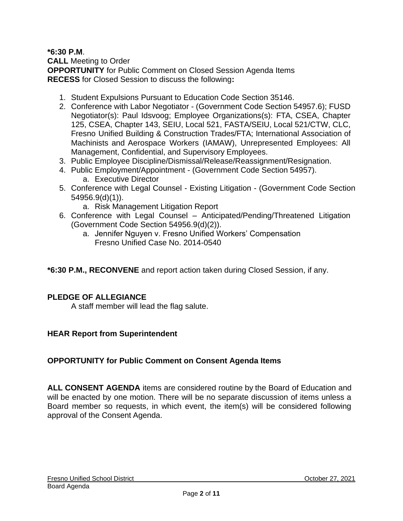**\*6:30 P.M**.

**CALL** Meeting to Order **OPPORTUNITY** for Public Comment on Closed Session Agenda Items **RECESS** for Closed Session to discuss the following**:**

- 1. Student Expulsions Pursuant to Education Code Section 35146.
- 2. Conference with Labor Negotiator (Government Code Section 54957.6); FUSD Negotiator(s): Paul Idsvoog; Employee Organizations(s): FTA, CSEA, Chapter 125, CSEA, Chapter 143, SEIU, Local 521, FASTA/SEIU, Local 521/CTW, CLC, Fresno Unified Building & Construction Trades/FTA; International Association of Machinists and Aerospace Workers (IAMAW), Unrepresented Employees: All Management, Confidential, and Supervisory Employees.
- 3. Public Employee Discipline/Dismissal/Release/Reassignment/Resignation.
- 4. Public Employment/Appointment (Government Code Section 54957). a. Executive Director
- 5. Conference with Legal Counsel Existing Litigation (Government Code Section 54956.9(d)(1)).
	- a. Risk Management Litigation Report
- 6. Conference with Legal Counsel Anticipated/Pending/Threatened Litigation (Government Code Section 54956.9(d)(2)).
	- a. Jennifer Nguyen v. Fresno Unified Workers' Compensation Fresno Unified Case No. 2014-0540

**\*6:30 P.M., RECONVENE** and report action taken during Closed Session, if any.

# **PLEDGE OF ALLEGIANCE**

A staff member will lead the flag salute.

# **HEAR Report from Superintendent**

# **OPPORTUNITY for Public Comment on Consent Agenda Items**

**ALL CONSENT AGENDA** items are considered routine by the Board of Education and will be enacted by one motion. There will be no separate discussion of items unless a Board member so requests, in which event, the item(s) will be considered following approval of the Consent Agenda.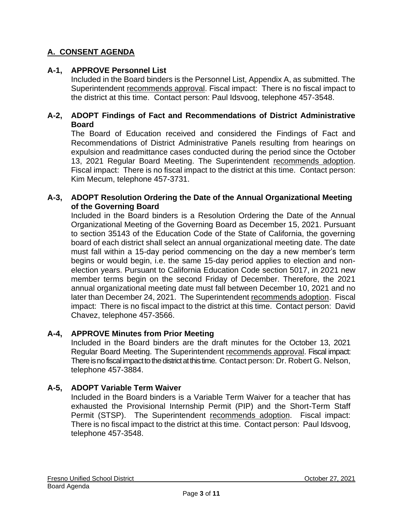# **A. CONSENT AGENDA**

# **A-1, APPROVE Personnel List**

Included in the Board binders is the Personnel List, Appendix A, as submitted. The Superintendent recommends approval. Fiscal impact: There is no fiscal impact to the district at this time. Contact person: Paul Idsvoog, telephone 457-3548.

#### **A-2, ADOPT Findings of Fact and Recommendations of District Administrative Board**

The Board of Education received and considered the Findings of Fact and Recommendations of District Administrative Panels resulting from hearings on expulsion and readmittance cases conducted during the period since the October 13, 2021 Regular Board Meeting. The Superintendent recommends adoption. Fiscal impact: There is no fiscal impact to the district at this time. Contact person: Kim Mecum, telephone 457-3731.

#### **A-3, ADOPT Resolution Ordering the Date of the Annual Organizational Meeting of the Governing Board**

Included in the Board binders is a Resolution Ordering the Date of the Annual Organizational Meeting of the Governing Board as December 15, 2021. Pursuant to section 35143 of the Education Code of the State of California, the governing board of each district shall select an annual organizational meeting date. The date must fall within a 15-day period commencing on the day a new member's term begins or would begin, i.e. the same 15-day period applies to election and nonelection years. Pursuant to California Education Code section 5017, in 2021 new member terms begin on the second Friday of December. Therefore, the 2021 annual organizational meeting date must fall between December 10, 2021 and no later than December 24, 2021. The Superintendent recommends adoption. Fiscal impact: There is no fiscal impact to the district at this time. Contact person: David Chavez, telephone 457-3566.

# **A-4, APPROVE Minutes from Prior Meeting**

Included in the Board binders are the draft minutes for the October 13, 2021 Regular Board Meeting. The Superintendent recommends approval. Fiscal impact: There is no fiscal impact to the district at this time. Contact person: Dr. Robert G. Nelson, telephone 457-3884.

# **A-5, ADOPT Variable Term Waiver**

Included in the Board binders is a Variable Term Waiver for a teacher that has exhausted the Provisional Internship Permit (PIP) and the Short-Term Staff Permit (STSP). The Superintendent recommends adoption. Fiscal impact: There is no fiscal impact to the district at this time. Contact person: Paul Idsvoog, telephone 457-3548.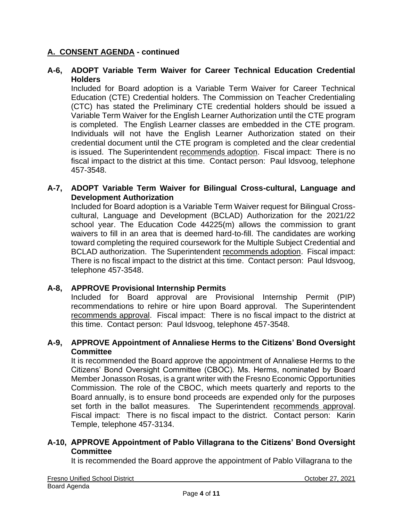#### **A-6, ADOPT Variable Term Waiver for Career Technical Education Credential Holders**

Included for Board adoption is a Variable Term Waiver for Career Technical Education (CTE) Credential holders. The Commission on Teacher Credentialing (CTC) has stated the Preliminary CTE credential holders should be issued a Variable Term Waiver for the English Learner Authorization until the CTE program is completed. The English Learner classes are embedded in the CTE program. Individuals will not have the English Learner Authorization stated on their credential document until the CTE program is completed and the clear credential is issued. The Superintendent recommends adoption. Fiscal impact: There is no fiscal impact to the district at this time. Contact person: Paul Idsvoog, telephone 457-3548.

#### **A-7, ADOPT Variable Term Waiver for Bilingual Cross-cultural, Language and Development Authorization**

Included for Board adoption is a Variable Term Waiver request for Bilingual Crosscultural, Language and Development (BCLAD) Authorization for the 2021/22 school year. The Education Code 44225(m) allows the commission to grant waivers to fill in an area that is deemed hard-to-fill. The candidates are working toward completing the required coursework for the Multiple Subject Credential and BCLAD authorization. The Superintendent recommends adoption. Fiscal impact: There is no fiscal impact to the district at this time. Contact person: Paul Idsvoog, telephone 457-3548.

#### **A-8, APPROVE Provisional Internship Permits**

Included for Board approval are Provisional Internship Permit (PIP) recommendations to rehire or hire upon Board approval. The Superintendent recommends approval. Fiscal impact: There is no fiscal impact to the district at this time. Contact person: Paul Idsvoog, telephone 457-3548.

#### **A-9, APPROVE Appointment of Annaliese Herms to the Citizens' Bond Oversight Committee**

It is recommended the Board approve the appointment of Annaliese Herms to the Citizens' Bond Oversight Committee (CBOC). Ms. Herms, nominated by Board Member Jonasson Rosas, is a grant writer with the Fresno Economic Opportunities Commission. The role of the CBOC, which meets quarterly and reports to the Board annually, is to ensure bond proceeds are expended only for the purposes set forth in the ballot measures. The Superintendent recommends approval. Fiscal impact: There is no fiscal impact to the district. Contact person: Karin Temple, telephone 457-3134.

#### **A-10, APPROVE Appointment of Pablo Villagrana to the Citizens' Bond Oversight Committee**

It is recommended the Board approve the appointment of Pablo Villagrana to the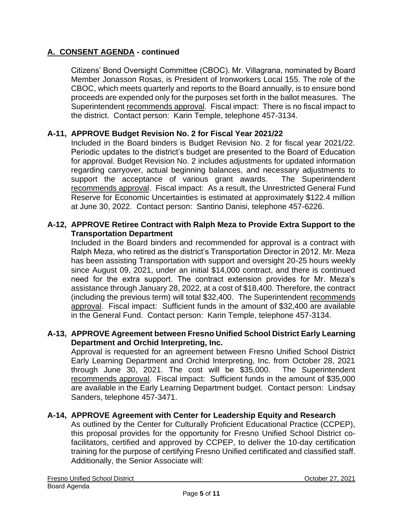Citizens' Bond Oversight Committee (CBOC). Mr. Villagrana, nominated by Board Member Jonasson Rosas, is President of Ironworkers Local 155. The role of the CBOC, which meets quarterly and reports to the Board annually, is to ensure bond proceeds are expended only for the purposes set forth in the ballot measures. The Superintendent recommends approval. Fiscal impact: There is no fiscal impact to the district. Contact person: Karin Temple, telephone 457-3134.

#### **A-11, APPROVE Budget Revision No. 2 for Fiscal Year 2021/22**

Included in the Board binders is Budget Revision No. 2 for fiscal year 2021/22. Periodic updates to the district's budget are presented to the Board of Education for approval. Budget Revision No. 2 includes adjustments for updated information regarding carryover, actual beginning balances, and necessary adjustments to support the acceptance of various grant awards. The Superintendent recommends approval. Fiscal impact: As a result, the Unrestricted General Fund Reserve for Economic Uncertainties is estimated at approximately \$122.4 million at June 30, 2022. Contact person: Santino Danisi, telephone 457-6226.

#### **A-12, APPROVE Retiree Contract with Ralph Meza to Provide Extra Support to the Transportation Department**

Included in the Board binders and recommended for approval is a contract with Ralph Meza, who retired as the district's Transportation Director in 2012. Mr. Meza has been assisting Transportation with support and oversight 20-25 hours weekly since August 09, 2021, under an initial \$14,000 contract, and there is continued need for the extra support. The contract extension provides for Mr. Meza's assistance through January 28, 2022, at a cost of \$18,400. Therefore, the contract (including the previous term) will total \$32,400. The Superintendent recommends approval. Fiscal impact: Sufficient funds in the amount of \$32,400 are available in the General Fund. Contact person: Karin Temple, telephone 457-3134.

#### **A-13, APPROVE Agreement between Fresno Unified School District Early Learning Department and Orchid Interpreting, Inc.**

Approval is requested for an agreement between Fresno Unified School District Early Learning Department and Orchid Interpreting, Inc. from October 28, 2021 through June 30, 2021. The cost will be \$35,000. The Superintendent recommends approval. Fiscal impact: Sufficient funds in the amount of \$35,000 are available in the Early Learning Department budget. Contact person: Lindsay Sanders, telephone 457-3471.

#### **A-14, APPROVE Agreement with Center for Leadership Equity and Research**

As outlined by the Center for Culturally Proficient Educational Practice (CCPEP), this proposal provides for the opportunity for Fresno Unified School District cofacilitators, certified and approved by CCPEP, to deliver the 10-day certification training for the purpose of certifying Fresno Unified certificated and classified staff. Additionally, the Senior Associate will: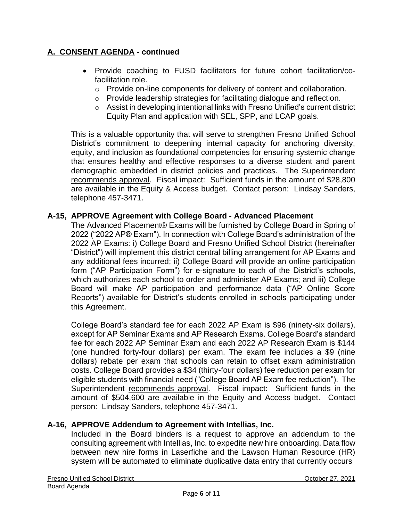- Provide coaching to FUSD facilitators for future cohort facilitation/cofacilitation role.
	- $\circ$  Provide on-line components for delivery of content and collaboration.
	- o Provide leadership strategies for facilitating dialogue and reflection.
	- o Assist in developing intentional links with Fresno Unified's current district Equity Plan and application with SEL, SPP, and LCAP goals.

This is a valuable opportunity that will serve to strengthen Fresno Unified School District's commitment to deepening internal capacity for anchoring diversity, equity, and inclusion as foundational competencies for ensuring systemic change that ensures healthy and effective responses to a diverse student and parent demographic embedded in district policies and practices. The Superintendent recommends approval. Fiscal impact: Sufficient funds in the amount of \$28,800 are available in the Equity & Access budget. Contact person: Lindsay Sanders, telephone 457-3471.

# **A-15, APPROVE Agreement with College Board - Advanced Placement**

The Advanced Placement® Exams will be furnished by College Board in Spring of 2022 ("2022 AP® Exam"). In connection with College Board's administration of the 2022 AP Exams: i) College Board and Fresno Unified School District (hereinafter "District") will implement this district central billing arrangement for AP Exams and any additional fees incurred; ii) College Board will provide an online participation form ("AP Participation Form") for e-signature to each of the District's schools, which authorizes each school to order and administer AP Exams; and iii) College Board will make AP participation and performance data ("AP Online Score Reports") available for District's students enrolled in schools participating under this Agreement.

College Board's standard fee for each 2022 AP Exam is \$96 (ninety-six dollars), except for AP Seminar Exams and AP Research Exams. College Board's standard fee for each 2022 AP Seminar Exam and each 2022 AP Research Exam is \$144 (one hundred forty-four dollars) per exam. The exam fee includes a \$9 (nine dollars) rebate per exam that schools can retain to offset exam administration costs. College Board provides a \$34 (thirty-four dollars) fee reduction per exam for eligible students with financial need ("College Board AP Exam fee reduction"). The Superintendent recommends approval. Fiscal impact: Sufficient funds in the amount of \$504,600 are available in the Equity and Access budget. Contact person: Lindsay Sanders, telephone 457-3471.

#### **A-16, APPROVE Addendum to Agreement with Intellias, Inc.**

Included in the Board binders is a request to approve an addendum to the consulting agreement with Intellias, Inc. to expedite new hire onboarding. Data flow between new hire forms in Laserfiche and the Lawson Human Resource (HR) system will be automated to eliminate duplicative data entry that currently occurs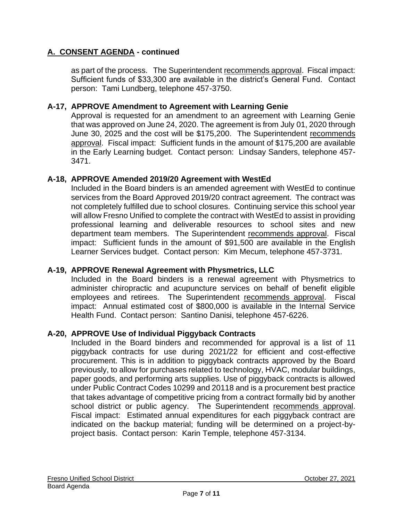as part of the process. The Superintendent recommends approval. Fiscal impact: Sufficient funds of \$33,300 are available in the district's General Fund. Contact person: Tami Lundberg, telephone 457-3750.

#### **A-17, APPROVE Amendment to Agreement with Learning Genie**

Approval is requested for an amendment to an agreement with Learning Genie that was approved on June 24, 2020. The agreement is from July 01, 2020 through June 30, 2025 and the cost will be \$175,200. The Superintendent recommends approval. Fiscal impact: Sufficient funds in the amount of \$175,200 are available in the Early Learning budget. Contact person: Lindsay Sanders, telephone 457- 3471.

#### **A-18, APPROVE Amended 2019/20 Agreement with WestEd**

Included in the Board binders is an amended agreement with WestEd to continue services from the Board Approved 2019/20 contract agreement. The contract was not completely fulfilled due to school closures. Continuing service this school year will allow Fresno Unified to complete the contract with WestEd to assist in providing professional learning and deliverable resources to school sites and new department team members. The Superintendent recommends approval. Fiscal impact: Sufficient funds in the amount of \$91,500 are available in the English Learner Services budget. Contact person: Kim Mecum, telephone 457-3731.

# **A-19, APPROVE Renewal Agreement with Physmetrics, LLC**

Included in the Board binders is a renewal agreement with Physmetrics to administer chiropractic and acupuncture services on behalf of benefit eligible employees and retirees. The Superintendent recommends approval. Fiscal impact: Annual estimated cost of \$800,000 is available in the Internal Service Health Fund. Contact person: Santino Danisi, telephone 457-6226.

# **A-20, APPROVE Use of Individual Piggyback Contracts**

Included in the Board binders and recommended for approval is a list of 11 piggyback contracts for use during 2021/22 for efficient and cost-effective procurement. This is in addition to piggyback contracts approved by the Board previously, to allow for purchases related to technology, HVAC, modular buildings, paper goods, and performing arts supplies. Use of piggyback contracts is allowed under Public Contract Codes 10299 and 20118 and is a procurement best practice that takes advantage of competitive pricing from a contract formally bid by another school district or public agency. The Superintendent recommends approval. Fiscal impact: Estimated annual expenditures for each piggyback contract are indicated on the backup material; funding will be determined on a project-byproject basis. Contact person: Karin Temple, telephone 457-3134.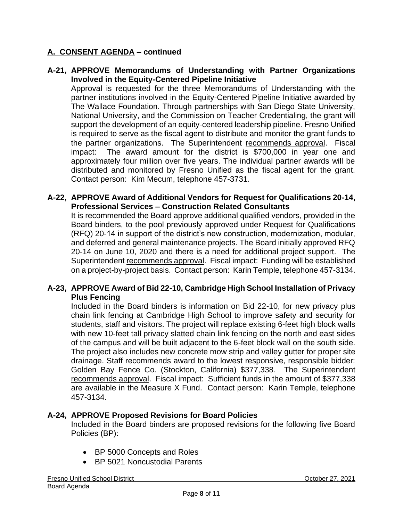#### **A-21, APPROVE Memorandums of Understanding with Partner Organizations Involved in the Equity-Centered Pipeline Initiative**

Approval is requested for the three Memorandums of Understanding with the partner institutions involved in the Equity-Centered Pipeline Initiative awarded by The Wallace Foundation. Through partnerships with San Diego State University, National University, and the Commission on Teacher Credentialing, the grant will support the development of an equity-centered leadership pipeline. Fresno Unified is required to serve as the fiscal agent to distribute and monitor the grant funds to the partner organizations. The Superintendent recommends approval. Fiscal impact: The award amount for the district is \$700,000 in year one and approximately four million over five years. The individual partner awards will be distributed and monitored by Fresno Unified as the fiscal agent for the grant. Contact person: Kim Mecum, telephone 457-3731.

#### **A-22, APPROVE Award of Additional Vendors for Request for Qualifications 20-14, Professional Services – Construction Related Consultants**

It is recommended the Board approve additional qualified vendors, provided in the Board binders, to the pool previously approved under Request for Qualifications (RFQ) 20-14 in support of the district's new construction, modernization, modular, and deferred and general maintenance projects. The Board initially approved RFQ 20-14 on June 10, 2020 and there is a need for additional project support. The Superintendent recommends approval. Fiscal impact: Funding will be established on a project-by-project basis. Contact person: Karin Temple, telephone 457-3134.

#### **A-23, APPROVE Award of Bid 22-10, Cambridge High School Installation of Privacy Plus Fencing**

Included in the Board binders is information on Bid 22-10, for new privacy plus chain link fencing at Cambridge High School to improve safety and security for students, staff and visitors. The project will replace existing 6-feet high block walls with new 10-feet tall privacy slatted chain link fencing on the north and east sides of the campus and will be built adjacent to the 6-feet block wall on the south side. The project also includes new concrete mow strip and valley gutter for proper site drainage. Staff recommends award to the lowest responsive, responsible bidder: Golden Bay Fence Co. (Stockton, California) \$377,338. The Superintendent recommends approval. Fiscal impact: Sufficient funds in the amount of \$377,338 are available in the Measure X Fund. Contact person: Karin Temple, telephone 457-3134.

# **A-24, APPROVE Proposed Revisions for Board Policies**

Included in the Board binders are proposed revisions for the following five Board Policies (BP):

- BP 5000 Concepts and Roles
- BP 5021 Noncustodial Parents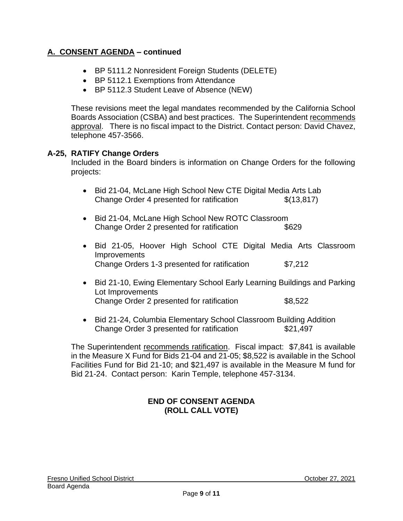- BP 5111.2 Nonresident Foreign Students (DELETE)
- BP 5112.1 Exemptions from Attendance
- BP 5112.3 Student Leave of Absence (NEW)

These revisions meet the legal mandates recommended by the California School Boards Association (CSBA) and best practices. The Superintendent recommends approval. There is no fiscal impact to the District. Contact person: David Chavez, telephone 457-3566.

#### **A-25, RATIFY Change Orders**

Included in the Board binders is information on Change Orders for the following projects:

- Bid 21-04, McLane High School New CTE Digital Media Arts Lab Change Order 4 presented for ratification  $$(13.817)$
- Bid 21-04, McLane High School New ROTC Classroom Change Order 2 presented for ratification \$629
- Bid 21-05, Hoover High School CTE Digital Media Arts Classroom **Improvements** Change Orders 1-3 presented for ratification \$7,212
- Bid 21-10, Ewing Elementary School Early Learning Buildings and Parking Lot Improvements Change Order 2 presented for ratification \$8,522
- Bid 21-24, Columbia Elementary School Classroom Building Addition Change Order 3 presented for ratification \$21,497

The Superintendent recommends ratification. Fiscal impact: \$7,841 is available in the Measure X Fund for Bids 21-04 and 21-05; \$8,522 is available in the School Facilities Fund for Bid 21-10; and \$21,497 is available in the Measure M fund for Bid 21-24. Contact person: Karin Temple, telephone 457-3134.

#### **END OF CONSENT AGENDA (ROLL CALL VOTE)**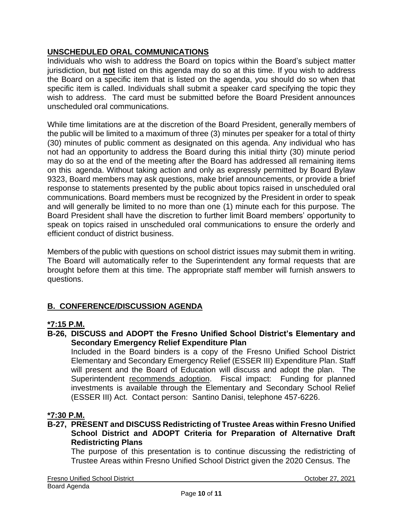# **UNSCHEDULED ORAL COMMUNICATIONS**

Individuals who wish to address the Board on topics within the Board's subject matter jurisdiction, but **not** listed on this agenda may do so at this time. If you wish to address the Board on a specific item that is listed on the agenda, you should do so when that specific item is called. Individuals shall submit a speaker card specifying the topic they wish to address. The card must be submitted before the Board President announces unscheduled oral communications.

While time limitations are at the discretion of the Board President, generally members of the public will be limited to a maximum of three (3) minutes per speaker for a total of thirty (30) minutes of public comment as designated on this agenda. Any individual who has not had an opportunity to address the Board during this initial thirty (30) minute period may do so at the end of the meeting after the Board has addressed all remaining items on this agenda. Without taking action and only as expressly permitted by Board Bylaw 9323, Board members may ask questions, make brief announcements, or provide a brief response to statements presented by the public about topics raised in unscheduled oral communications. Board members must be recognized by the President in order to speak and will generally be limited to no more than one (1) minute each for this purpose. The Board President shall have the discretion to further limit Board members' opportunity to speak on topics raised in unscheduled oral communications to ensure the orderly and efficient conduct of district business.

Members of the public with questions on school district issues may submit them in writing. The Board will automatically refer to the Superintendent any formal requests that are brought before them at this time. The appropriate staff member will furnish answers to questions.

# **B. CONFERENCE/DISCUSSION AGENDA**

# **\*7:15 P.M.**

**B-26, DISCUSS and ADOPT the Fresno Unified School District's Elementary and Secondary Emergency Relief Expenditure Plan**

Included in the Board binders is a copy of the Fresno Unified School District Elementary and Secondary Emergency Relief (ESSER III) Expenditure Plan. Staff will present and the Board of Education will discuss and adopt the plan. The Superintendent recommends adoption. Fiscal impact: Funding for planned investments is available through the Elementary and Secondary School Relief (ESSER III) Act. Contact person: Santino Danisi, telephone 457-6226.

# **\*7:30 P.M.**

**B-27, PRESENT and DISCUSS Redistricting of Trustee Areas within Fresno Unified School District and ADOPT Criteria for Preparation of Alternative Draft Redistricting Plans**

The purpose of this presentation is to continue discussing the redistricting of Trustee Areas within Fresno Unified School District given the 2020 Census. The